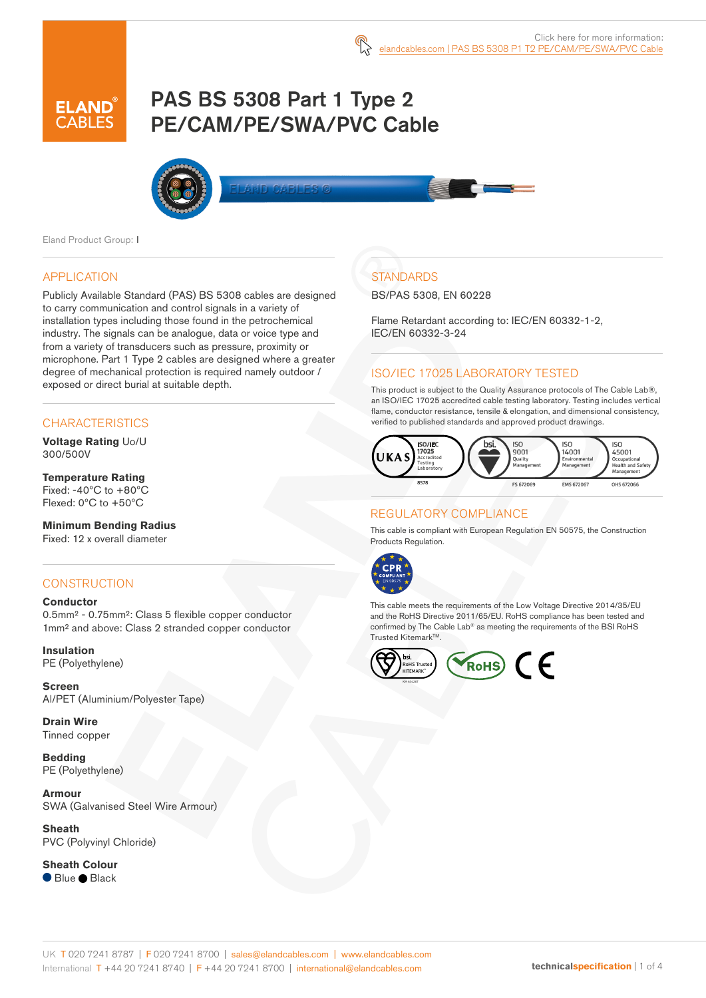# PAS BS 5308 Part 1 Type 2 PE/CAM/PE/SWA/PVC Cable



Eland Product Group: I

#### APPLICATION

Publicly Available Standard (PAS) BS 5308 cables are designed to carry communication and control signals in a variety of installation types including those found in the petrochemical industry. The signals can be analogue, data or voice type and from a variety of transducers such as pressure, proximity or microphone. Part 1 Type 2 cables are designed where a greater degree of mechanical protection is required namely outdoor / exposed or direct burial at suitable depth.

#### **CHARACTERISTICS**

**Voltage Rating** Uo/U 300/500V

#### **Temperature Rating** Fixed: -40ºC to +80ºC Flexed: 0ºC to +50ºC

**Minimum Bending Radius**  Fixed: 12 x overall diameter

#### **CONSTRUCTION**

#### **Conductor**

0.5mm² - 0.75mm²: Class 5 flexible copper conductor 1mm² and above: Class 2 stranded copper conductor

**Insulation** PE (Polyethylene)

**Screen** Al/PET (Aluminium/Polyester Tape)

**Drain Wire** Tinned copper

**Bedding** PE (Polyethylene)

**Armour** SWA (Galvanised Steel Wire Armour)

**Sheath** PVC (Polyvinyl Chloride)

**Sheath Colour** ● Blue ● Black

# **STANDARDS**

BS/PAS 5308, EN 60228

Flame Retardant according to: IEC/EN 60332-1-2, IEC/EN 60332-3-24

### ISO/IEC 17025 LABORATORY TESTED

This product is subject to the Quality Assurance protocols of The Cable Lab®, an ISO/IEC 17025 accredited cable testing laboratory. Testing includes vertical flame, conductor resistance, tensile & elongation, and dimensional consistency, verified to published standards and approved product drawings.



#### REGULATORY COMPLIANCE

This cable is compliant with European Regulation EN 50575, the Construction Products Regulation.



This cable meets the requirements of the Low Voltage Directive 2014/35/EU and the RoHS Directive 2011/65/EU. RoHS compliance has been tested and confirmed by The Cable Lab® as meeting the requirements of the BSI RoHS Trusted Kitemark™.

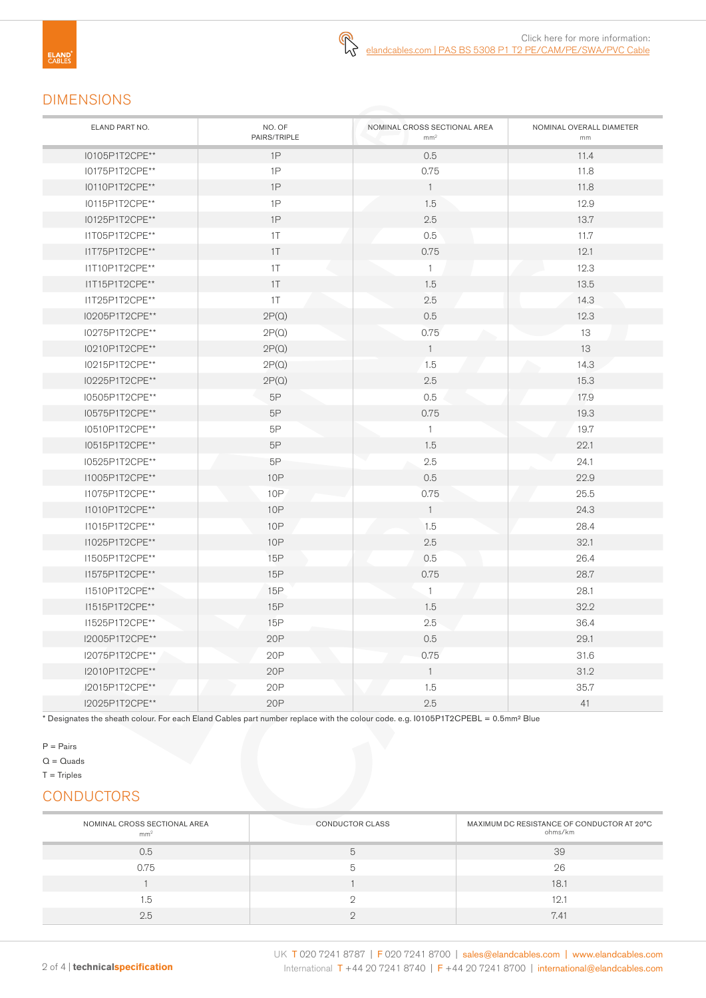### DIMENSIONS

| ELAND PART NO. | NO. OF<br>PAIRS/TRIPLE | NOMINAL CROSS SECTIONAL AREA<br>mm <sup>2</sup> | NOMINAL OVERALL DIAMETER<br>mm |
|----------------|------------------------|-------------------------------------------------|--------------------------------|
| I0105P1T2CPE** | 1P                     | 0.5                                             | 11.4                           |
| I0175P1T2CPE** | 1P                     | 0.75                                            | 11.8                           |
| I0110P1T2CPE** | 1P                     | $\overline{1}$                                  | 11.8                           |
| I0115P1T2CPE** | 1P                     | 1.5                                             | 12.9                           |
| I0125P1T2CPE** | 1P                     | 2.5                                             | 13.7                           |
| I1T05P1T2CPE** | 1T                     | 0.5                                             | 11.7                           |
| I1T75P1T2CPE** | $1\top$                | 0.75                                            | 12.1                           |
| I1T10P1T2CPE** | 1T                     | $\mathbf{1}$                                    | 12.3                           |
| I1T15P1T2CPE** | 1T                     | 1.5                                             | 13.5                           |
| I1T25P1T2CPE** | 1T                     | 2.5                                             | 14.3                           |
| I0205P1T2CPE** | 2P(Q)                  | 0.5                                             | 12.3                           |
| I0275P1T2CPE** | 2P(Q)                  | 0.75                                            | 13                             |
| I0210P1T2CPE** | 2P(Q)                  | $\overline{1}$                                  | 13                             |
| I0215P1T2CPE** | 2P(Q)                  | 1.5                                             | 14.3                           |
| I0225P1T2CPE** | 2P(Q)                  | 2.5                                             | 15.3                           |
| I0505P1T2CPE** | 5P                     | 0.5                                             | 17.9                           |
| I0575P1T2CPE** | 5P                     | 0.75                                            | 19.3                           |
| I0510P1T2CPE** | 5P                     | $\overline{1}$                                  | 19.7                           |
| I0515P1T2CPE** | 5P                     | 1.5                                             | 22.1                           |
| I0525P1T2CPE** | 5Р                     | 2.5                                             | 24.1                           |
| I1005P1T2CPE** | 10P                    | 0.5                                             | 22.9                           |
| I1075P1T2CPE** | 10P                    | 0.75                                            | 25.5                           |
| I1010P1T2CPE** | <b>10P</b>             | $\overline{1}$                                  | 24.3                           |
| I1015P1T2CPE** | <b>10P</b>             | 1.5                                             | 28.4                           |
| I1025P1T2CPE** | <b>10P</b>             | 2.5                                             | 32.1                           |
| I1505P1T2CPE** | 15P                    | 0.5                                             | 26.4                           |
| I1575P1T2CPE** | 15P                    | 0.75                                            | 28.7                           |
| I1510P1T2CPE** | 15P                    | $\mathbf{1}$                                    | 28.1                           |
| I1515P1T2CPE** | <b>15P</b>             | 1.5                                             | 32.2                           |
| I1525P1T2CPE** | 15P                    | 2.5                                             | 36.4                           |
| I2005P1T2CPE** | 20P                    | 0.5                                             | 29.1                           |
| I2075P1T2CPE** | 20P                    | 0.75                                            | 31.6                           |
| I2010P1T2CPE** | 20P                    | $\overline{1}$                                  | 31.2                           |
| 12015P1T2CPE** | 20P                    | 1.5                                             | 35.7                           |
| I2025P1T2CPE** | 20P                    | 2.5                                             | 41                             |

 $\mathbb{R}$ 

\* Designates the sheath colour. For each Eland Cables part number replace with the colour code. e.g. I0105P1T2CPEBL = 0.5mm² Blue

P = Pairs

 $Q = Quads$ 

 $T =$ Triples

### **CONDUCTORS**

| NOMINAL CROSS SECTIONAL AREA<br>mm <sup>2</sup> | <b>CONDUCTOR CLASS</b> | MAXIMUM DC RESISTANCE OF CONDUCTOR AT 20°C<br>ohms/km |
|-------------------------------------------------|------------------------|-------------------------------------------------------|
| 0.5                                             | b                      | 39                                                    |
| 0.75                                            | h                      | 26                                                    |
|                                                 |                        | 18.1                                                  |
| 1.5                                             |                        | 12.7                                                  |
| 2.5                                             |                        | 7.41                                                  |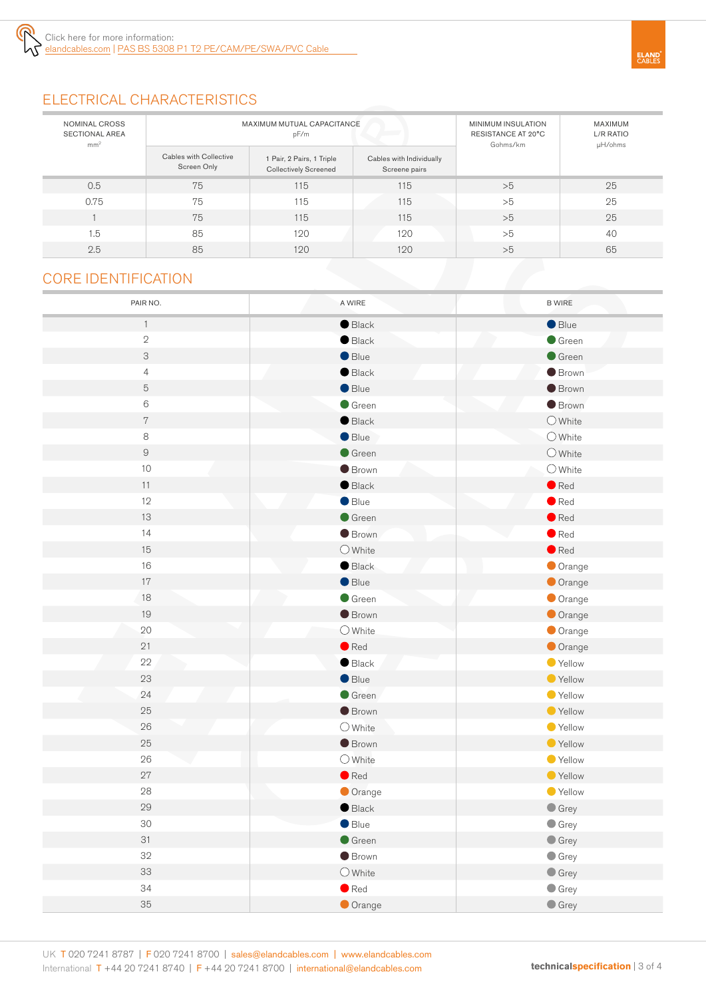# ELECTRICAL CHARACTERISTICS

| NOMINAL CROSS<br><b>SECTIONAL AREA</b><br>mm <sup>2</sup> | MAXIMUM MUTUAL CAPACITANCE<br>pF/m    |                                                           | MINIMUM INSULATION<br>RESISTANCE AT 20°C<br>Gohms/km | MAXIMUM<br>L/R RATIO<br>µH/ohms |    |
|-----------------------------------------------------------|---------------------------------------|-----------------------------------------------------------|------------------------------------------------------|---------------------------------|----|
|                                                           | Cables with Collective<br>Screen Only | 1 Pair, 2 Pairs, 1 Triple<br><b>Collectively Screened</b> | Cables with Individually<br>Screene pairs            |                                 |    |
| 0.5                                                       | 75                                    | 115                                                       | 115                                                  | >5                              | 25 |
| 0.75                                                      | 75                                    | 115                                                       | 115                                                  | >5                              | 25 |
|                                                           | 75                                    | 115                                                       | 115                                                  | >5                              | 25 |
| 1.5                                                       | 85                                    | 120                                                       | 120                                                  | >5                              | 40 |
| 2.5                                                       | 85                                    | 120                                                       | 120                                                  | >5                              | 65 |

### CORE IDENTIFICATION

| PAIR NO.                  | A WIRE                   | <b>B WIRE</b>                    |
|---------------------------|--------------------------|----------------------------------|
| $\mathbf{1}$              | $\bullet$ Black          | Blue                             |
| $\sqrt{2}$                | $\bullet$ Black          | Green                            |
| $\ensuremath{\mathsf{3}}$ | Blue                     | Green                            |
| $\overline{4}$            | $\bullet$ Black          | <b>Brown</b>                     |
| $\mathbf 5$               | Blue                     | <b>Brown</b>                     |
| $\,6$                     | $\bullet$ Green          | <b>Brown</b>                     |
| $\,7$                     | $\bullet$ Black          | $\bigcirc$ White                 |
| 8                         | $\bullet$ Blue           | $O$ White                        |
| $\hbox{9}$                | Green                    | $O$ White                        |
| $10$                      | <b>Brown</b>             | $\bigcirc$ White                 |
| $11$                      | $\bullet$ Black          | $\bullet$ Red                    |
| 12                        | $\bullet$ Blue           | $\bullet$ Red                    |
| 13                        | $\bullet$ Green          | $\bullet$ Red                    |
| 14                        | <b>Brown</b>             | $\bullet$ Red                    |
| 15                        | $\bigcirc$ White         | $\bullet$ Red                    |
| 16                        | Black                    | Orange                           |
| $17\,$                    | $\bullet$ Blue           | Orange                           |
| 18                        | Green                    | Orange                           |
| 19                        | <b>Brown</b>             | Orange                           |
| $20\,$                    | $\bigcirc$ White         | Orange                           |
| 21                        | $\bullet$ Red            | Orange                           |
| $2\sqrt{2}$               | $\bullet$ Black          | Yellow                           |
| 23                        | $\bullet$ Blue           | ● Yellow                         |
| 24                        | $\bullet$ Green          | ● Yellow                         |
| 25                        | <b>Brown</b>             | ● Yellow                         |
| 26                        | $O$ White                | ● Yellow                         |
| 25                        | <b>Brown</b>             | ● Yellow                         |
| 26                        | $\bigcirc$ White         | ● Yellow                         |
| 27                        | $\bullet$ Red            | ● Yellow                         |
| ${\bf 28}$                | Orange                   | ● Yellow                         |
| 29                        | $\bullet$ Black          | $\bullet$ Grey                   |
| 30                        | $\bullet$ Blue           | $\bullet$ Grey                   |
| 31<br>32                  | Green<br>$\bullet$ Brown | $\bullet$ Grey                   |
| 33                        | $\bigcirc$ White         | $\bullet$ Grey<br>$\bullet$ Grey |
| 34                        | $\bullet$ Red            | $\bullet$ Grey                   |
| 35                        | Orange                   | $\bullet$ Grey                   |
|                           |                          |                                  |

**ELAND**<br>CABLES